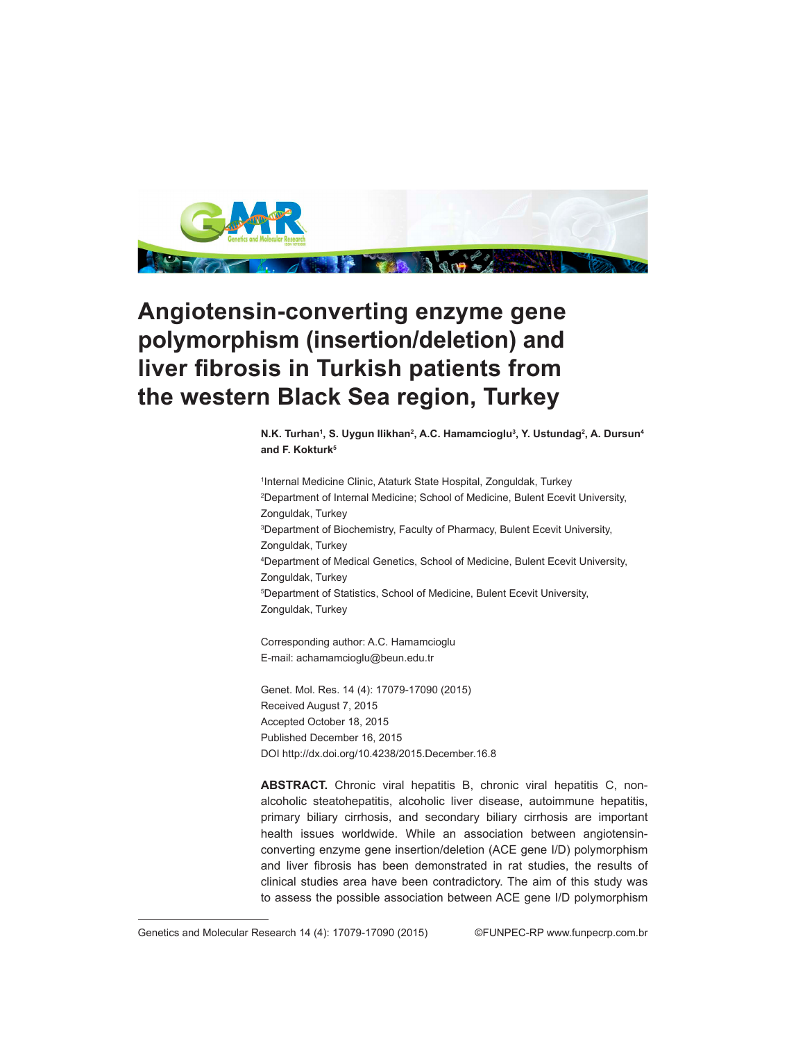

# **Angiotensin-converting enzyme gene polymorphism (insertion/deletion) and liver fibrosis in Turkish patients from the western Black Sea region, Turkey**

**N.K. Turhan<sup>1</sup> , S. Uygun Ilikhan<sup>2</sup> , A.C. Hamamcioglu<sup>3</sup> , Y. Ustundag<sup>2</sup> , A. Dursun<sup>4</sup> and F. Kokturk<sup>5</sup>**

1 Internal Medicine Clinic, Ataturk State Hospital, Zonguldak, Turkey 2 Department of Internal Medicine; School of Medicine, Bulent Ecevit University, Zonguldak, Turkey 3 Department of Biochemistry, Faculty of Pharmacy, Bulent Ecevit University, Zonguldak, Turkey 4 Department of Medical Genetics, School of Medicine, Bulent Ecevit University, Zonguldak, Turkey 5 Department of Statistics, School of Medicine, Bulent Ecevit University, Zonguldak, Turkey

Corresponding author: A.C. Hamamcioglu E-mail: achamamcioglu@beun.edu.tr

Genet. Mol. Res. 14 (4): 17079-17090 (2015) Received August 7, 2015 Accepted October 18, 2015 Published December 16, 2015 DOI http://dx.doi.org/10.4238/2015.December.16.8

**ABSTRACT.** Chronic viral hepatitis B, chronic viral hepatitis C, nonalcoholic steatohepatitis, alcoholic liver disease, autoimmune hepatitis, primary biliary cirrhosis, and secondary biliary cirrhosis are important health issues worldwide. While an association between angiotensinconverting enzyme gene insertion/deletion (ACE gene I/D) polymorphism and liver fibrosis has been demonstrated in rat studies, the results of clinical studies area have been contradictory. The aim of this study was to assess the possible association between ACE gene I/D polymorphism

Genetics and Molecular Research 14 (4): 17079-17090 (2015) ©FUNPEC-RP www.funpecrp.com.br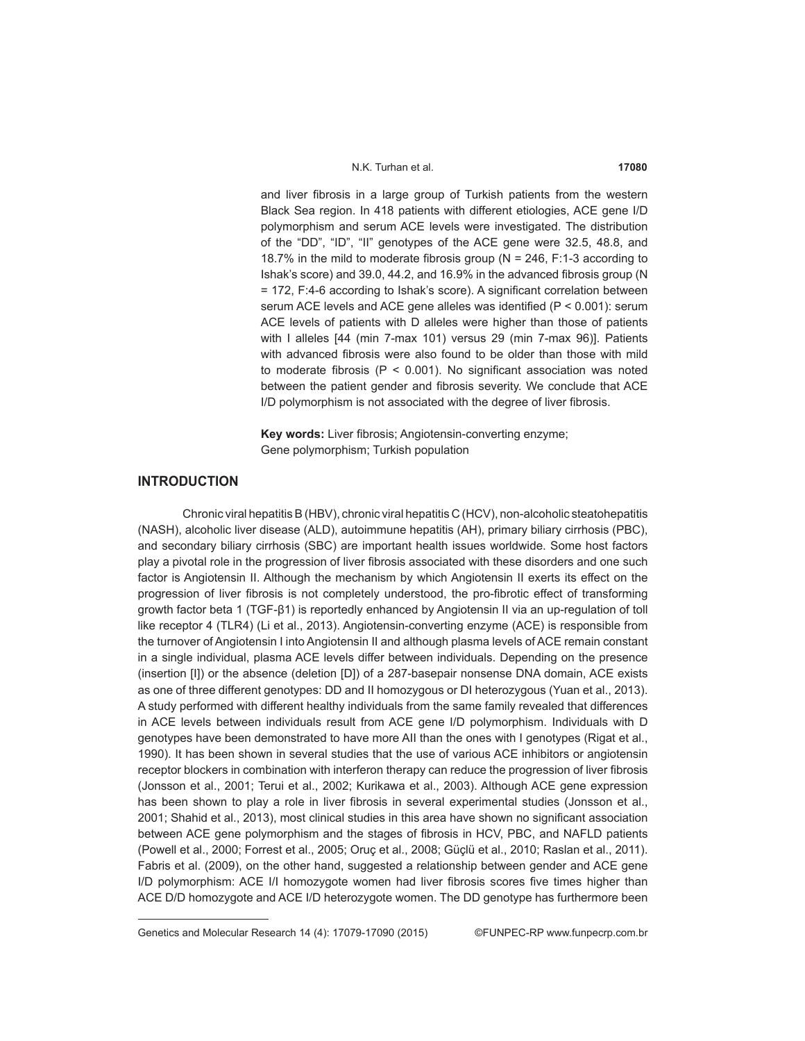and liver fibrosis in a large group of Turkish patients from the western Black Sea region. In 418 patients with different etiologies, ACE gene I/D polymorphism and serum ACE levels were investigated. The distribution of the "DD", "ID", "II" genotypes of the ACE gene were 32.5, 48.8, and 18.7% in the mild to moderate fibrosis group (N = 246, F:1-3 according to Ishak's score) and 39.0, 44.2, and 16.9% in the advanced fibrosis group (N = 172, F:4-6 according to Ishak's score). A significant correlation between serum ACE levels and ACE gene alleles was identified (P < 0.001): serum ACE levels of patients with D alleles were higher than those of patients with I alleles [44 (min 7-max 101) versus 29 (min 7-max 96)]. Patients with advanced fibrosis were also found to be older than those with mild to moderate fibrosis ( $P < 0.001$ ). No significant association was noted between the patient gender and fibrosis severity. We conclude that ACE I/D polymorphism is not associated with the degree of liver fibrosis.

**Key words:** Liver fibrosis; Angiotensin-converting enzyme; Gene polymorphism; Turkish population

## **INTRODUCTION**

Chronic viral hepatitis B (HBV), chronic viral hepatitis C (HCV), non-alcoholic steatohepatitis (NASH), alcoholic liver disease (ALD), autoimmune hepatitis (AH), primary biliary cirrhosis (PBC), and secondary biliary cirrhosis (SBC) are important health issues worldwide. Some host factors play a pivotal role in the progression of liver fibrosis associated with these disorders and one such factor is Angiotensin II. Although the mechanism by which Angiotensin II exerts its effect on the progression of liver fibrosis is not completely understood, the pro-fibrotic effect of transforming growth factor beta 1 (TGF-β1) is reportedly enhanced by Angiotensin II via an up-regulation of toll like receptor 4 (TLR4) (Li et al., 2013). Angiotensin-converting enzyme (ACE) is responsible from the turnover of Angiotensin I into Angiotensin II and although plasma levels of ACE remain constant in a single individual, plasma ACE levels differ between individuals. Depending on the presence (insertion [I]) or the absence (deletion [D]) of a 287-basepair nonsense DNA domain, ACE exists as one of three different genotypes: DD and II homozygous or DI heterozygous (Yuan et al., 2013). A study performed with different healthy individuals from the same family revealed that differences in ACE levels between individuals result from ACE gene I/D polymorphism. Individuals with D genotypes have been demonstrated to have more AII than the ones with I genotypes (Rigat et al., 1990). It has been shown in several studies that the use of various ACE inhibitors or angiotensin receptor blockers in combination with interferon therapy can reduce the progression of liver fibrosis (Jonsson et al., 2001; Terui et al., 2002; Kurikawa et al., 2003). Although ACE gene expression has been shown to play a role in liver fibrosis in several experimental studies (Jonsson et al., 2001; Shahid et al., 2013), most clinical studies in this area have shown no significant association between ACE gene polymorphism and the stages of fibrosis in HCV, PBC, and NAFLD patients (Powell et al., 2000; Forrest et al., 2005; Oruç et al., 2008; Güçlü et al., 2010; Raslan et al., 2011). Fabris et al. (2009), on the other hand, suggested a relationship between gender and ACE gene I/D polymorphism: ACE I/I homozygote women had liver fibrosis scores five times higher than ACE D/D homozygote and ACE I/D heterozygote women. The DD genotype has furthermore been

Genetics and Molecular Research 14 (4): 17079-17090 (2015) ©FUNPEC-RP www.funpecrp.com.br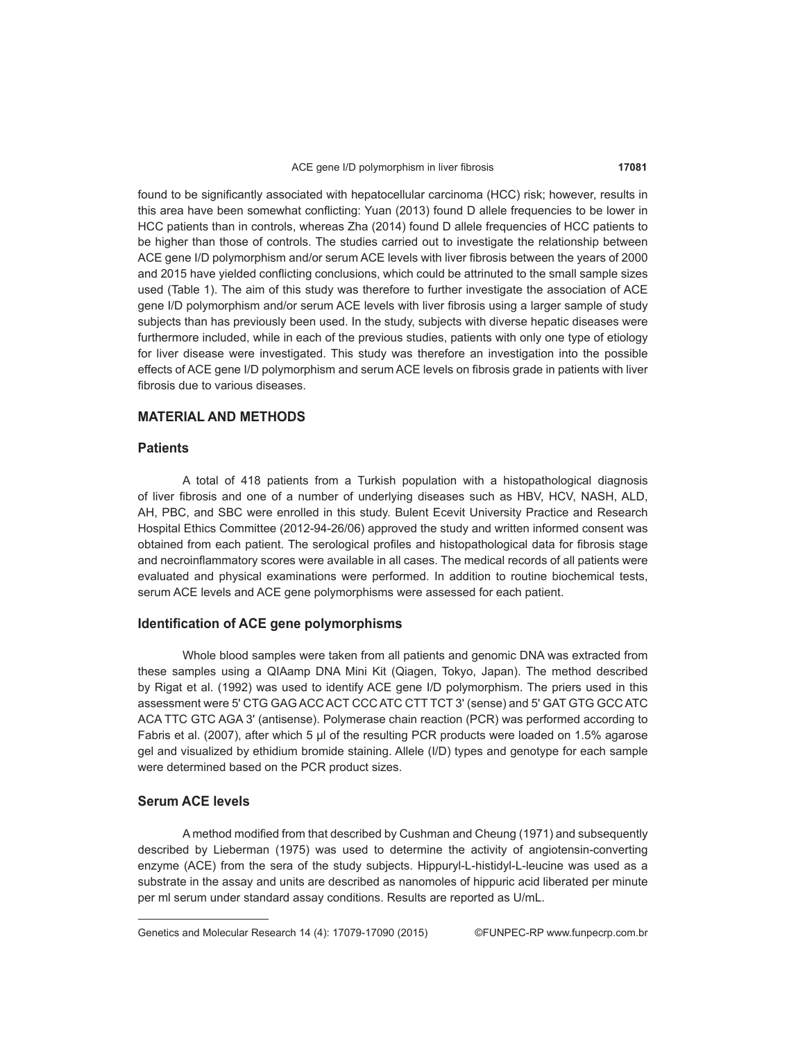found to be significantly associated with hepatocellular carcinoma (HCC) risk; however, results in this area have been somewhat conflicting: Yuan (2013) found D allele frequencies to be lower in HCC patients than in controls, whereas Zha (2014) found D allele frequencies of HCC patients to be higher than those of controls. The studies carried out to investigate the relationship between ACE gene I/D polymorphism and/or serum ACE levels with liver fibrosis between the years of 2000 and 2015 have yielded conflicting conclusions, which could be attrinuted to the small sample sizes used (Table 1). The aim of this study was therefore to further investigate the association of ACE gene I/D polymorphism and/or serum ACE levels with liver fibrosis using a larger sample of study subjects than has previously been used. In the study, subjects with diverse hepatic diseases were furthermore included, while in each of the previous studies, patients with only one type of etiology for liver disease were investigated. This study was therefore an investigation into the possible effects of ACE gene I/D polymorphism and serum ACE levels on fibrosis grade in patients with liver fibrosis due to various diseases.

#### **MATERIAL AND METHODS**

# **Patients**

A total of 418 patients from a Turkish population with a histopathological diagnosis of liver fibrosis and one of a number of underlying diseases such as HBV, HCV, NASH, ALD, AH, PBC, and SBC were enrolled in this study. Bulent Ecevit University Practice and Research Hospital Ethics Committee (2012-94-26/06) approved the study and written informed consent was obtained from each patient. The serological profiles and histopathological data for fibrosis stage and necroinflammatory scores were available in all cases. The medical records of all patients were evaluated and physical examinations were performed. In addition to routine biochemical tests, serum ACE levels and ACE gene polymorphisms were assessed for each patient.

#### **Identification of ACE gene polymorphisms**

Whole blood samples were taken from all patients and genomic DNA was extracted from these samples using a QIAamp DNA Mini Kit (Qiagen, Tokyo, Japan). The method described by Rigat et al. (1992) was used to identify ACE gene I/D polymorphism. The priers used in this assessment were 5' CTG GAG ACC ACT CCC ATC CTT TCT 3' (sense) and 5' GAT GTG GCC ATC ACA TTC GTC AGA 3' (antisense). Polymerase chain reaction (PCR) was performed according to Fabris et al. (2007), after which 5 μl of the resulting PCR products were loaded on 1.5% agarose gel and visualized by ethidium bromide staining. Allele (I/D) types and genotype for each sample were determined based on the PCR product sizes.

# **Serum ACE levels**

A method modified from that described by Cushman and Cheung (1971) and subsequently described by Lieberman (1975) was used to determine the activity of angiotensin-converting enzyme (ACE) from the sera of the study subjects. Hippuryl-L-histidyl-L-leucine was used as a substrate in the assay and units are described as nanomoles of hippuric acid liberated per minute per ml serum under standard assay conditions. Results are reported as U/mL.

Genetics and Molecular Research 14 (4): 17079-17090 (2015) ©FUNPEC-RP www.funpecrp.com.br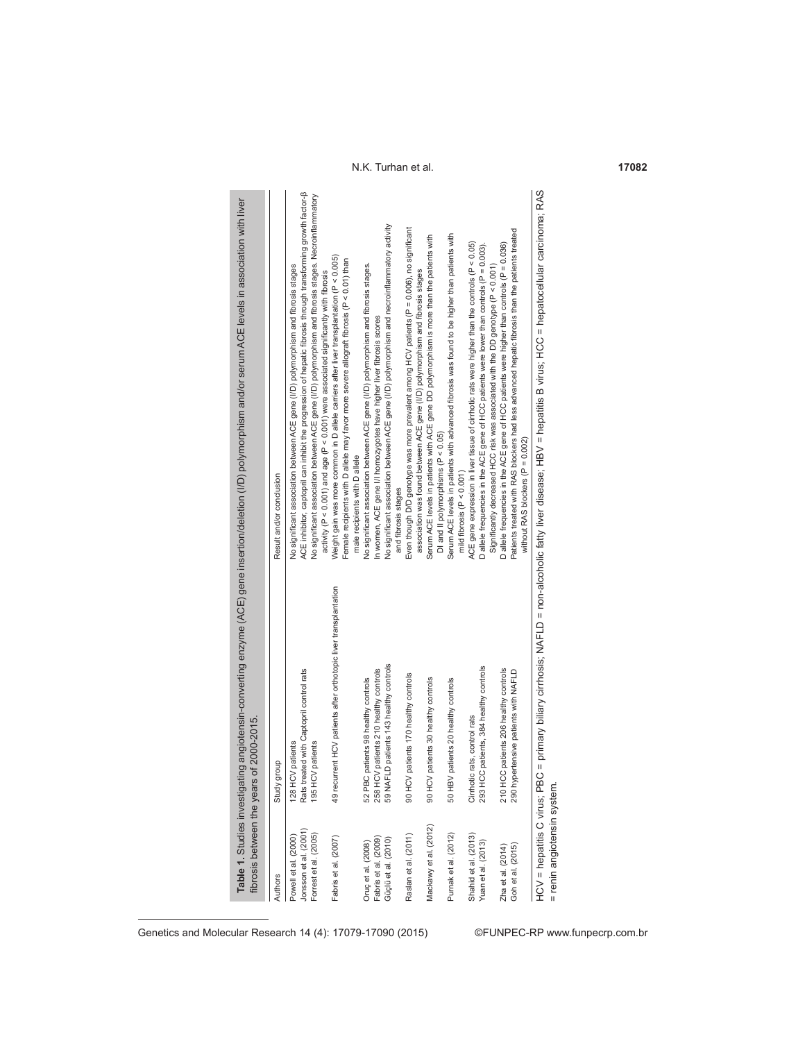| No significant association between ACE gene (I/D) polymorphism and fibrosis stages. Necroinflammatory<br>No significant association between ACE gene (I/D) polymorphism and necroinflammatory activity<br>Even though D/D genotype was more prevalent among HCV patients (P = 0.006), no significant<br>Patients treated with RAS blockers had less advanced hepatic fibrosis than the patients treated<br>Serum ACE levels in patients with advanced fibrosis was found to be higher than patients with<br>Serum ACE levels in patients with ACE gene DD polymorphism is more than the patients with<br>ACE gene expression in liver tissue of cirrhotic rats were higher than the controls (P < 0.05)<br>D allele frequencies in the ACE gene of HCC patients were higher than controls (P = 0.036)<br>D allele frequencies in the ACE gene of HCC patients were lower than controls (P = 0.003).<br>Weight gain was more common in D allele carriers after liver transplantation (P < 0.005)<br>Female recipients with D allele may favor more severe allograft fibrosis (P < 0.01) than<br>Significantly decreased HCC risk was associated with the DD genotype (P < 0.001)<br>No significant association between ACE gene (I/D) polymorphism and fibrosis stages<br>No significant association between ACE gene (I/D) polymorphism and fibrosis stages.<br>activity (P < 0.001) and age (P < 0.001) were associated significantly with fibrosis<br>association was found between ACE gene (I/D) polymorphism and fibrosis stages<br>In women, ACE gene I/I homozygotes have higher liver fibrosis scores<br>DI and II polymorphisms (P < 0.05)<br>male recipients with D allele<br>mild fibrosis ( $P < 0.001$ )<br>and fibrosis stages<br>49 recurrent HCV patients after orthotopic liver transplantation<br>59 NAFLD patients 143 healthy controls<br>patients, 384 healthy controls<br>Rats treated with Captopril control rats<br>patients 210 healthy controls<br>210 HCC patients 206 healthy controls<br>tensive patients with NAFLD<br>90 HCV patients 170 healthy controls<br>90 HCV patients 30 healthy controls<br>52 PBC patients 98 healthy controls<br>50 HBV patients 20 healthy controls<br>Cirrhotic rats, control rats<br>patients<br>patients<br>290 hypert<br>195 HCV<br>128 HCV p<br>258 HCV<br>293 HCC<br>Mackawy et al. (2012)<br>Jonsson et al. (2001)<br>Forrest et al. (2005)<br>Purnak et al. (2012)<br>Shahid et al. (2013)<br>Raslan et al. (2011)<br>Powell et al. (2000)<br>Fabris et al. (2007)<br>Fabris et al. (2009)<br>Güçlü et al. (2010)<br>Yuan et al. (2013)<br>Oruç et al. (2008)<br>Zha et al. (2014)<br>Goh et al. (2015) | <b>Authors</b> | 2000-2015.<br>Study group<br>fibrosis between the years of | Result and/or conclusion                                                                                      |
|----------------------------------------------------------------------------------------------------------------------------------------------------------------------------------------------------------------------------------------------------------------------------------------------------------------------------------------------------------------------------------------------------------------------------------------------------------------------------------------------------------------------------------------------------------------------------------------------------------------------------------------------------------------------------------------------------------------------------------------------------------------------------------------------------------------------------------------------------------------------------------------------------------------------------------------------------------------------------------------------------------------------------------------------------------------------------------------------------------------------------------------------------------------------------------------------------------------------------------------------------------------------------------------------------------------------------------------------------------------------------------------------------------------------------------------------------------------------------------------------------------------------------------------------------------------------------------------------------------------------------------------------------------------------------------------------------------------------------------------------------------------------------------------------------------------------------------------------------------------------------------------------------------------------------------------------------------------------------------------------------------------------------------------------------------------------------------------------------------------------------------------------------------------------------------------------------------------------------------------------------------------------------------------------------------------------------------------------------------------------------------------------------------------------------------------------------------------------------------------------------------------------------------------------------------------------------------------------------------------------------------------------------------------------------|----------------|------------------------------------------------------------|---------------------------------------------------------------------------------------------------------------|
|                                                                                                                                                                                                                                                                                                                                                                                                                                                                                                                                                                                                                                                                                                                                                                                                                                                                                                                                                                                                                                                                                                                                                                                                                                                                                                                                                                                                                                                                                                                                                                                                                                                                                                                                                                                                                                                                                                                                                                                                                                                                                                                                                                                                                                                                                                                                                                                                                                                                                                                                                                                                                                                                            |                |                                                            |                                                                                                               |
|                                                                                                                                                                                                                                                                                                                                                                                                                                                                                                                                                                                                                                                                                                                                                                                                                                                                                                                                                                                                                                                                                                                                                                                                                                                                                                                                                                                                                                                                                                                                                                                                                                                                                                                                                                                                                                                                                                                                                                                                                                                                                                                                                                                                                                                                                                                                                                                                                                                                                                                                                                                                                                                                            |                |                                                            | ACE inhibitor, captopril can inhibit the progression of hepatic fibrosis through transforming growth factor-β |
|                                                                                                                                                                                                                                                                                                                                                                                                                                                                                                                                                                                                                                                                                                                                                                                                                                                                                                                                                                                                                                                                                                                                                                                                                                                                                                                                                                                                                                                                                                                                                                                                                                                                                                                                                                                                                                                                                                                                                                                                                                                                                                                                                                                                                                                                                                                                                                                                                                                                                                                                                                                                                                                                            |                |                                                            |                                                                                                               |
|                                                                                                                                                                                                                                                                                                                                                                                                                                                                                                                                                                                                                                                                                                                                                                                                                                                                                                                                                                                                                                                                                                                                                                                                                                                                                                                                                                                                                                                                                                                                                                                                                                                                                                                                                                                                                                                                                                                                                                                                                                                                                                                                                                                                                                                                                                                                                                                                                                                                                                                                                                                                                                                                            |                |                                                            |                                                                                                               |
|                                                                                                                                                                                                                                                                                                                                                                                                                                                                                                                                                                                                                                                                                                                                                                                                                                                                                                                                                                                                                                                                                                                                                                                                                                                                                                                                                                                                                                                                                                                                                                                                                                                                                                                                                                                                                                                                                                                                                                                                                                                                                                                                                                                                                                                                                                                                                                                                                                                                                                                                                                                                                                                                            |                |                                                            |                                                                                                               |
|                                                                                                                                                                                                                                                                                                                                                                                                                                                                                                                                                                                                                                                                                                                                                                                                                                                                                                                                                                                                                                                                                                                                                                                                                                                                                                                                                                                                                                                                                                                                                                                                                                                                                                                                                                                                                                                                                                                                                                                                                                                                                                                                                                                                                                                                                                                                                                                                                                                                                                                                                                                                                                                                            |                |                                                            |                                                                                                               |
|                                                                                                                                                                                                                                                                                                                                                                                                                                                                                                                                                                                                                                                                                                                                                                                                                                                                                                                                                                                                                                                                                                                                                                                                                                                                                                                                                                                                                                                                                                                                                                                                                                                                                                                                                                                                                                                                                                                                                                                                                                                                                                                                                                                                                                                                                                                                                                                                                                                                                                                                                                                                                                                                            |                |                                                            |                                                                                                               |
|                                                                                                                                                                                                                                                                                                                                                                                                                                                                                                                                                                                                                                                                                                                                                                                                                                                                                                                                                                                                                                                                                                                                                                                                                                                                                                                                                                                                                                                                                                                                                                                                                                                                                                                                                                                                                                                                                                                                                                                                                                                                                                                                                                                                                                                                                                                                                                                                                                                                                                                                                                                                                                                                            |                |                                                            |                                                                                                               |
|                                                                                                                                                                                                                                                                                                                                                                                                                                                                                                                                                                                                                                                                                                                                                                                                                                                                                                                                                                                                                                                                                                                                                                                                                                                                                                                                                                                                                                                                                                                                                                                                                                                                                                                                                                                                                                                                                                                                                                                                                                                                                                                                                                                                                                                                                                                                                                                                                                                                                                                                                                                                                                                                            |                |                                                            |                                                                                                               |
|                                                                                                                                                                                                                                                                                                                                                                                                                                                                                                                                                                                                                                                                                                                                                                                                                                                                                                                                                                                                                                                                                                                                                                                                                                                                                                                                                                                                                                                                                                                                                                                                                                                                                                                                                                                                                                                                                                                                                                                                                                                                                                                                                                                                                                                                                                                                                                                                                                                                                                                                                                                                                                                                            |                |                                                            |                                                                                                               |
|                                                                                                                                                                                                                                                                                                                                                                                                                                                                                                                                                                                                                                                                                                                                                                                                                                                                                                                                                                                                                                                                                                                                                                                                                                                                                                                                                                                                                                                                                                                                                                                                                                                                                                                                                                                                                                                                                                                                                                                                                                                                                                                                                                                                                                                                                                                                                                                                                                                                                                                                                                                                                                                                            |                |                                                            |                                                                                                               |
|                                                                                                                                                                                                                                                                                                                                                                                                                                                                                                                                                                                                                                                                                                                                                                                                                                                                                                                                                                                                                                                                                                                                                                                                                                                                                                                                                                                                                                                                                                                                                                                                                                                                                                                                                                                                                                                                                                                                                                                                                                                                                                                                                                                                                                                                                                                                                                                                                                                                                                                                                                                                                                                                            |                |                                                            |                                                                                                               |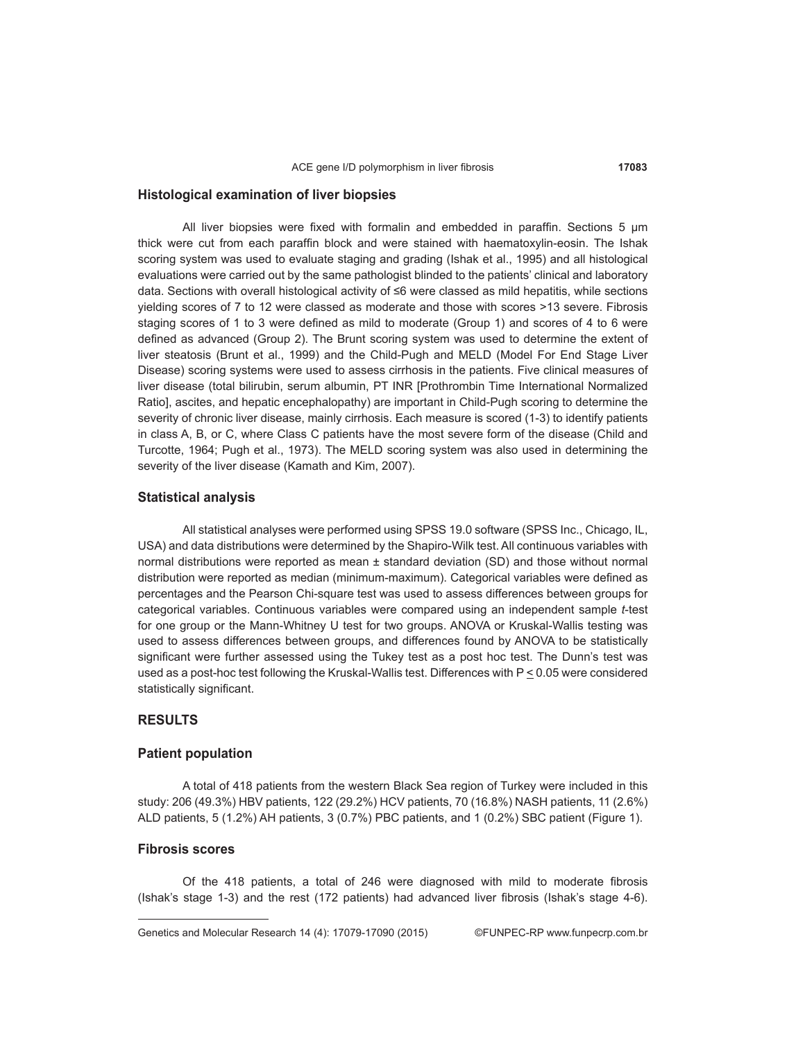## **Histological examination of liver biopsies**

All liver biopsies were fixed with formalin and embedded in paraffin. Sections 5 μm thick were cut from each paraffin block and were stained with haematoxylin-eosin. The Ishak scoring system was used to evaluate staging and grading (Ishak et al., 1995) and all histological evaluations were carried out by the same pathologist blinded to the patients' clinical and laboratory data. Sections with overall histological activity of ≤6 were classed as mild hepatitis, while sections yielding scores of 7 to 12 were classed as moderate and those with scores >13 severe. Fibrosis staging scores of 1 to 3 were defined as mild to moderate (Group 1) and scores of 4 to 6 were defined as advanced (Group 2). The Brunt scoring system was used to determine the extent of liver steatosis (Brunt et al., 1999) and the Child-Pugh and MELD (Model For End Stage Liver Disease) scoring systems were used to assess cirrhosis in the patients. Five clinical measures of liver disease (total bilirubin, serum albumin, PT INR [Prothrombin Time International Normalized Ratio], ascites, and hepatic encephalopathy) are important in Child-Pugh scoring to determine the severity of chronic liver disease, mainly cirrhosis. Each measure is scored (1-3) to identify patients in class A, B, or C, where Class C patients have the most severe form of the disease (Child and Turcotte, 1964; Pugh et al., 1973). The MELD scoring system was also used in determining the severity of the liver disease (Kamath and Kim, 2007).

## **Statistical analysis**

All statistical analyses were performed using SPSS 19.0 software (SPSS Inc., Chicago, IL, USA) and data distributions were determined by the Shapiro-Wilk test. All continuous variables with normal distributions were reported as mean ± standard deviation (SD) and those without normal distribution were reported as median (minimum-maximum). Categorical variables were defined as percentages and the Pearson Chi-square test was used to assess differences between groups for categorical variables. Continuous variables were compared using an independent sample *t*-test for one group or the Mann-Whitney U test for two groups. ANOVA or Kruskal-Wallis testing was used to assess differences between groups, and differences found by ANOVA to be statistically significant were further assessed using the Tukey test as a post hoc test. The Dunn's test was used as a post-hoc test following the Kruskal-Wallis test. Differences with P < 0.05 were considered statistically significant.

#### **RESULTS**

## **Patient population**

A total of 418 patients from the western Black Sea region of Turkey were included in this study: 206 (49.3%) HBV patients, 122 (29.2%) HCV patients, 70 (16.8%) NASH patients, 11 (2.6%) ALD patients, 5 (1.2%) AH patients, 3 (0.7%) PBC patients, and 1 (0.2%) SBC patient (Figure 1).

#### **Fibrosis scores**

Of the 418 patients, a total of 246 were diagnosed with mild to moderate fibrosis (Ishak's stage 1-3) and the rest (172 patients) had advanced liver fibrosis (Ishak's stage 4-6).

Genetics and Molecular Research 14 (4): 17079-17090 (2015) ©FUNPEC-RP www.funpecrp.com.br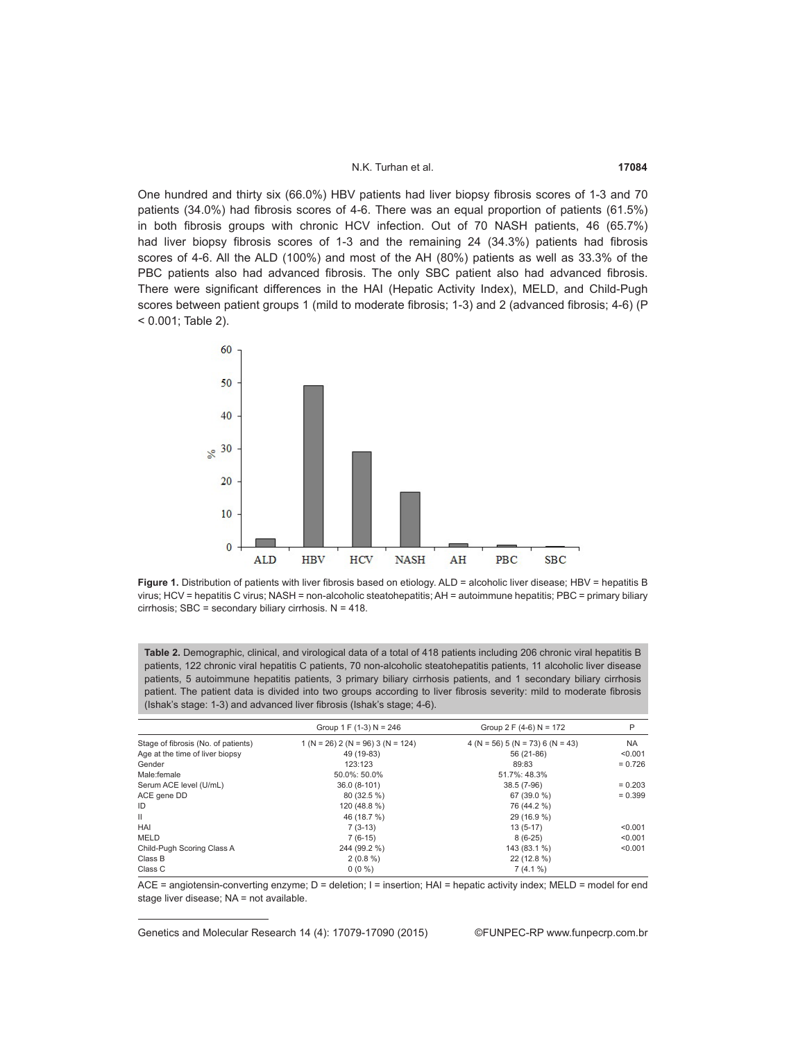One hundred and thirty six (66.0%) HBV patients had liver biopsy fibrosis scores of 1-3 and 70 patients (34.0%) had fibrosis scores of 4-6. There was an equal proportion of patients (61.5%) in both fibrosis groups with chronic HCV infection. Out of 70 NASH patients, 46 (65.7%) had liver biopsy fibrosis scores of 1-3 and the remaining 24 (34.3%) patients had fibrosis scores of 4-6. All the ALD (100%) and most of the AH (80%) patients as well as 33.3% of the PBC patients also had advanced fibrosis. The only SBC patient also had advanced fibrosis. There were significant differences in the HAI (Hepatic Activity Index), MELD, and Child-Pugh scores between patient groups 1 (mild to moderate fibrosis; 1-3) and 2 (advanced fibrosis; 4-6) (P < 0.001; Table 2).



Figure 1. Distribution of patients with liver fibrosis based on etiology. ALD = alcoholic liver disease; HBV = hepatitis B virus; HCV = hepatitis C virus; NASH = non-alcoholic steatohepatitis; AH = autoimmune hepatitis; PBC = primary biliary cirrhosis; SBC = secondary biliary cirrhosis. N = 418.

**Table 2.** Demographic, clinical, and virological data of a total of 418 patients including 206 chronic viral hepatitis B patients, 122 chronic viral hepatitis C patients, 70 non-alcoholic steatohepatitis patients, 11 alcoholic liver disease patients, 5 autoimmune hepatitis patients, 3 primary biliary cirrhosis patients, and 1 secondary biliary cirrhosis patient. The patient data is divided into two groups according to liver fibrosis severity: mild to moderate fibrosis (Ishak's stage: 1-3) and advanced liver fibrosis (Ishak's stage; 4-6).

|                                     | Group 1 F $(1-3)$ N = 246           | Group 2 F (4-6) N = 172            | P         |
|-------------------------------------|-------------------------------------|------------------------------------|-----------|
| Stage of fibrosis (No. of patients) | $1 (N = 26) 2 (N = 96) 3 (N = 124)$ | $4 (N = 56) 5 (N = 73) 6 (N = 43)$ | NA.       |
| Age at the time of liver biopsy     | 49 (19-83)                          | 56 (21-86)                         | < 0.001   |
| Gender                              | 123:123                             | 89:83                              | $= 0.726$ |
| Male:female                         | 50.0%: 50.0%                        | 51.7%: 48.3%                       |           |
| Serum ACE level (U/mL)              | 36.0 (8-101)                        | 38.5 (7-96)                        | $= 0.203$ |
| ACE gene DD                         | 80 (32.5 %)                         | 67 (39.0 %)                        | $= 0.399$ |
| ID                                  | 120 (48.8 %)                        | 76 (44.2 %)                        |           |
| Ш                                   | 46 (18.7 %)                         | 29 (16.9 %)                        |           |
| HAI                                 | $7(3-13)$                           | $13(5-17)$                         | < 0.001   |
| <b>MELD</b>                         | $7(6-15)$                           | $8(6-25)$                          | < 0.001   |
| Child-Pugh Scoring Class A          | 244 (99.2 %)                        | 143 (83.1 %)                       | < 0.001   |
| Class B                             | $2(0.8\%)$                          | 22 (12.8 %)                        |           |
| Class C                             | $0(0\%)$                            | $7(4.1\%)$                         |           |

ACE = angiotensin-converting enzyme; D = deletion; I = insertion; HAI = hepatic activity index; MELD = model for end stage liver disease; NA = not available.

Genetics and Molecular Research 14 (4): 17079-17090 (2015) ©FUNPEC-RP www.funpecrp.com.br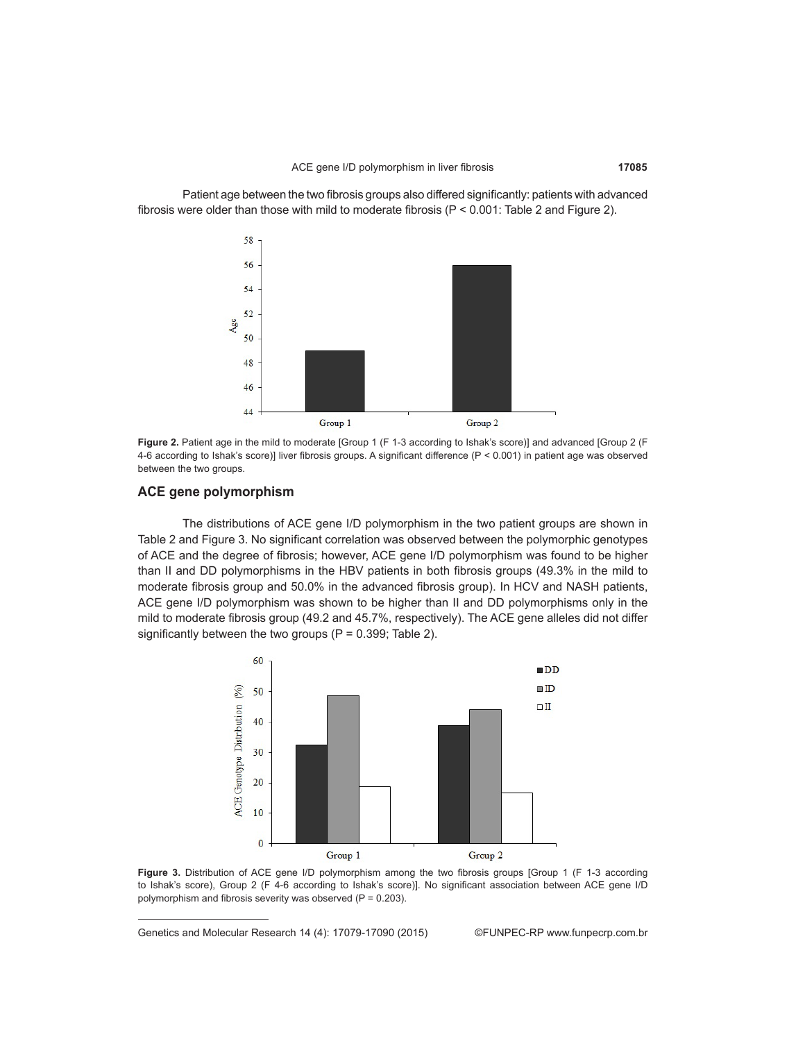Patient age between the two fibrosis groups also differed significantly: patients with advanced fibrosis were older than those with mild to moderate fibrosis (P < 0.001: Table 2 and Figure 2).



**Figure 2.** Patient age in the mild to moderate [Group 1 (F 1-3 according to Ishak's score)] and advanced [Group 2 (F 4-6 according to Ishak's score)] liver fibrosis groups. A significant difference (P < 0.001) in patient age was observed between the two groups.

# **ACE gene polymorphism**

The distributions of ACE gene I/D polymorphism in the two patient groups are shown in Table 2 and Figure 3. No significant correlation was observed between the polymorphic genotypes of ACE and the degree of fibrosis; however, ACE gene I/D polymorphism was found to be higher than II and DD polymorphisms in the HBV patients in both fibrosis groups (49.3% in the mild to moderate fibrosis group and 50.0% in the advanced fibrosis group). In HCV and NASH patients, ACE gene I/D polymorphism was shown to be higher than II and DD polymorphisms only in the mild to moderate fibrosis group (49.2 and 45.7%, respectively). The ACE gene alleles did not differ significantly between the two groups  $(P = 0.399;$  Table 2).



**Figure 3.** Distribution of ACE gene I/D polymorphism among the two fibrosis groups [Group 1 (F 1-3 according to Ishak's score), Group 2 (F 4-6 according to Ishak's score)]. No significant association between ACE gene I/D polymorphism and fibrosis severity was observed (P = 0.203).

Genetics and Molecular Research 14 (4): 17079-17090 (2015) ©FUNPEC-RP www.funpecrp.com.br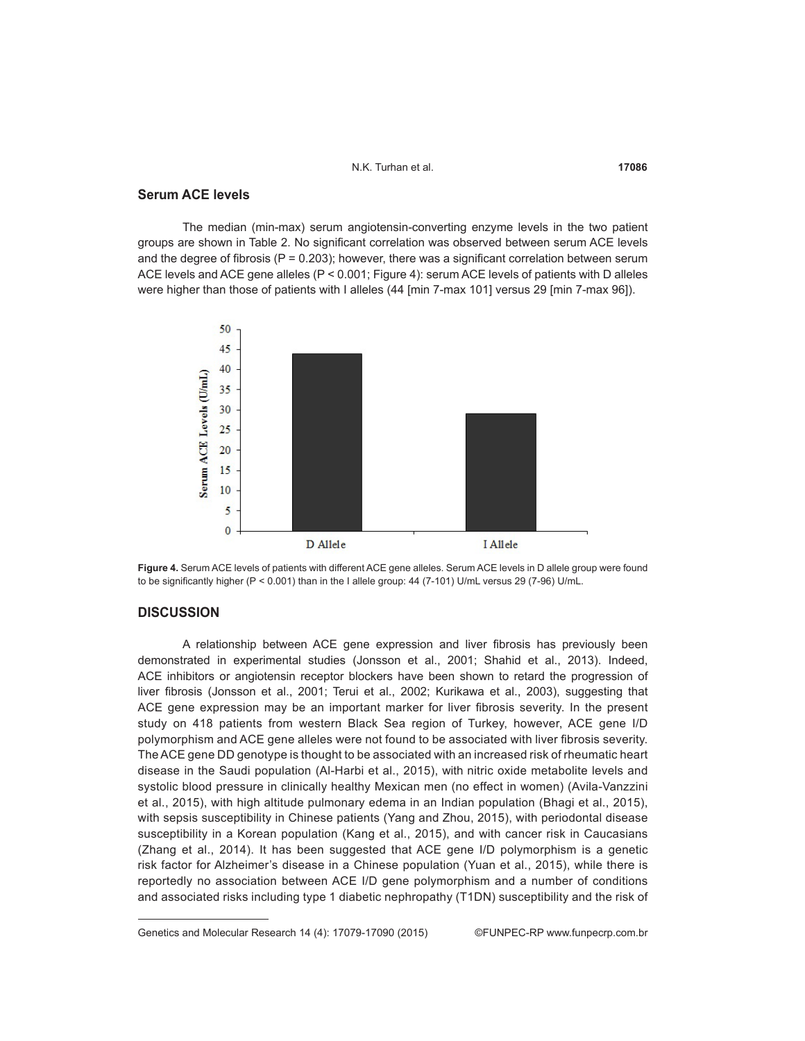# **Serum ACE levels**

The median (min-max) serum angiotensin-converting enzyme levels in the two patient groups are shown in Table 2. No significant correlation was observed between serum ACE levels and the degree of fibrosis ( $P = 0.203$ ); however, there was a significant correlation between serum ACE levels and ACE gene alleles (P < 0.001; Figure 4): serum ACE levels of patients with D alleles were higher than those of patients with I alleles (44 [min 7-max 101] versus 29 [min 7-max 96]).





# **DISCUSSION**

A relationship between ACE gene expression and liver fibrosis has previously been demonstrated in experimental studies (Jonsson et al., 2001; Shahid et al., 2013). Indeed, ACE inhibitors or angiotensin receptor blockers have been shown to retard the progression of liver fibrosis (Jonsson et al., 2001; Terui et al., 2002; Kurikawa et al., 2003), suggesting that ACE gene expression may be an important marker for liver fibrosis severity. In the present study on 418 patients from western Black Sea region of Turkey, however, ACE gene I/D polymorphism and ACE gene alleles were not found to be associated with liver fibrosis severity. The ACE gene DD genotype is thought to be associated with an increased risk of rheumatic heart disease in the Saudi population (Al-Harbi et al., 2015), with nitric oxide metabolite levels and systolic blood pressure in clinically healthy Mexican men (no effect in women) (Avila-Vanzzini et al., 2015), with high altitude pulmonary edema in an Indian population (Bhagi et al., 2015), with sepsis susceptibility in Chinese patients (Yang and Zhou, 2015), with periodontal disease susceptibility in a Korean population (Kang et al., 2015), and with cancer risk in Caucasians (Zhang et al., 2014). It has been suggested that ACE gene I/D polymorphism is a genetic risk factor for Alzheimer's disease in a Chinese population (Yuan et al., 2015), while there is reportedly no association between ACE I/D gene polymorphism and a number of conditions and associated risks including type 1 diabetic nephropathy (T1DN) susceptibility and the risk of

Genetics and Molecular Research 14 (4): 17079-17090 (2015) ©FUNPEC-RP www.funpecrp.com.br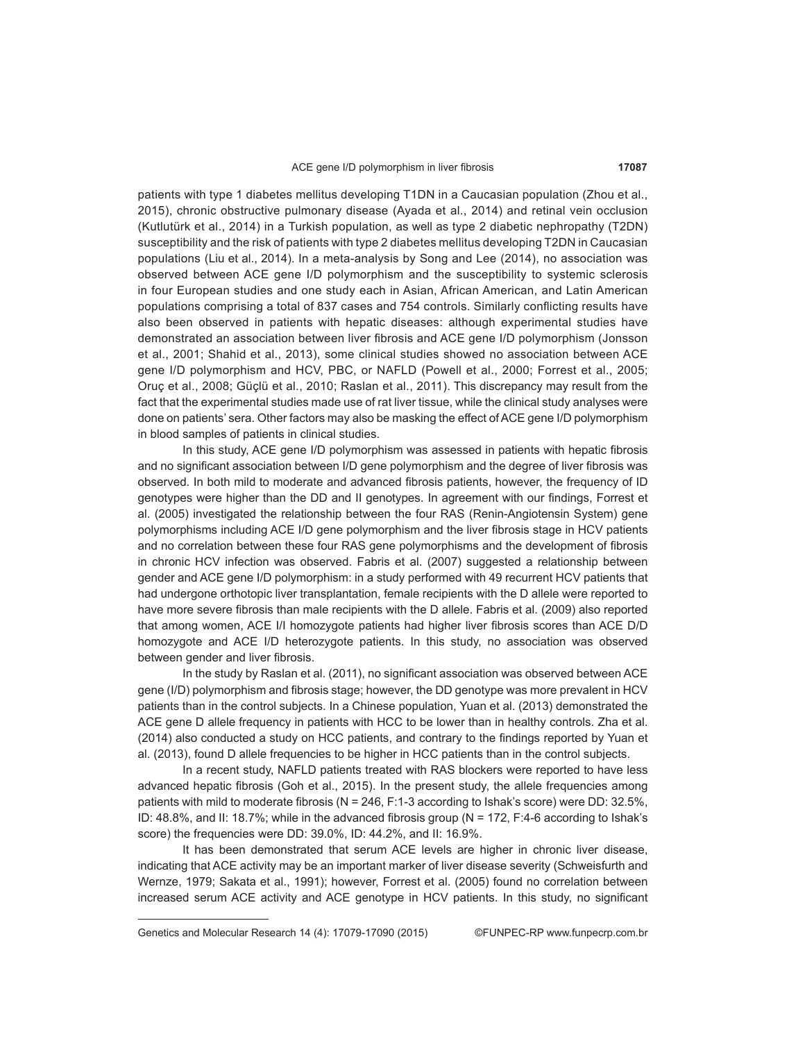patients with type 1 diabetes mellitus developing T1DN in a Caucasian population (Zhou et al., 2015), chronic obstructive pulmonary disease (Ayada et al., 2014) and retinal vein occlusion (Kutlutürk et al., 2014) in a Turkish population, as well as type 2 diabetic nephropathy (T2DN) susceptibility and the risk of patients with type 2 diabetes mellitus developing T2DN in Caucasian populations (Liu et al., 2014). In a meta-analysis by Song and Lee (2014), no association was observed between ACE gene I/D polymorphism and the susceptibility to systemic sclerosis in four European studies and one study each in Asian, African American, and Latin American populations comprising a total of 837 cases and 754 controls. Similarly conflicting results have also been observed in patients with hepatic diseases: although experimental studies have demonstrated an association between liver fibrosis and ACE gene I/D polymorphism (Jonsson et al., 2001; Shahid et al., 2013), some clinical studies showed no association between ACE gene I/D polymorphism and HCV, PBC, or NAFLD (Powell et al., 2000; Forrest et al., 2005; Oruç et al., 2008; Güçlü et al., 2010; Raslan et al., 2011). This discrepancy may result from the fact that the experimental studies made use of rat liver tissue, while the clinical study analyses were done on patients' sera. Other factors may also be masking the effect of ACE gene I/D polymorphism in blood samples of patients in clinical studies.

In this study, ACE gene I/D polymorphism was assessed in patients with hepatic fibrosis and no significant association between I/D gene polymorphism and the degree of liver fibrosis was observed. In both mild to moderate and advanced fibrosis patients, however, the frequency of ID genotypes were higher than the DD and II genotypes. In agreement with our findings, Forrest et al. (2005) investigated the relationship between the four RAS (Renin-Angiotensin System) gene polymorphisms including ACE I/D gene polymorphism and the liver fibrosis stage in HCV patients and no correlation between these four RAS gene polymorphisms and the development of fibrosis in chronic HCV infection was observed. Fabris et al. (2007) suggested a relationship between gender and ACE gene I/D polymorphism: in a study performed with 49 recurrent HCV patients that had undergone orthotopic liver transplantation, female recipients with the D allele were reported to have more severe fibrosis than male recipients with the D allele. Fabris et al. (2009) also reported that among women, ACE I/I homozygote patients had higher liver fibrosis scores than ACE D/D homozygote and ACE I/D heterozygote patients. In this study, no association was observed between gender and liver fibrosis.

In the study by Raslan et al. (2011), no significant association was observed between ACE gene (I/D) polymorphism and fibrosis stage; however, the DD genotype was more prevalent in HCV patients than in the control subjects. In a Chinese population, Yuan et al. (2013) demonstrated the ACE gene D allele frequency in patients with HCC to be lower than in healthy controls. Zha et al. (2014) also conducted a study on HCC patients, and contrary to the findings reported by Yuan et al. (2013), found D allele frequencies to be higher in HCC patients than in the control subjects.

In a recent study, NAFLD patients treated with RAS blockers were reported to have less advanced hepatic fibrosis (Goh et al., 2015). In the present study, the allele frequencies among patients with mild to moderate fibrosis (N = 246, F:1-3 according to Ishak's score) were DD: 32.5%, ID: 48.8%, and II: 18.7%; while in the advanced fibrosis group (N = 172, F:4-6 according to Ishak's score) the frequencies were DD: 39.0%, ID: 44.2%, and II: 16.9%.

It has been demonstrated that serum ACE levels are higher in chronic liver disease, indicating that ACE activity may be an important marker of liver disease severity (Schweisfurth and Wernze, 1979; Sakata et al., 1991); however, Forrest et al. (2005) found no correlation between increased serum ACE activity and ACE genotype in HCV patients. In this study, no significant

Genetics and Molecular Research 14 (4): 17079-17090 (2015) ©FUNPEC-RP www.funpecrp.com.br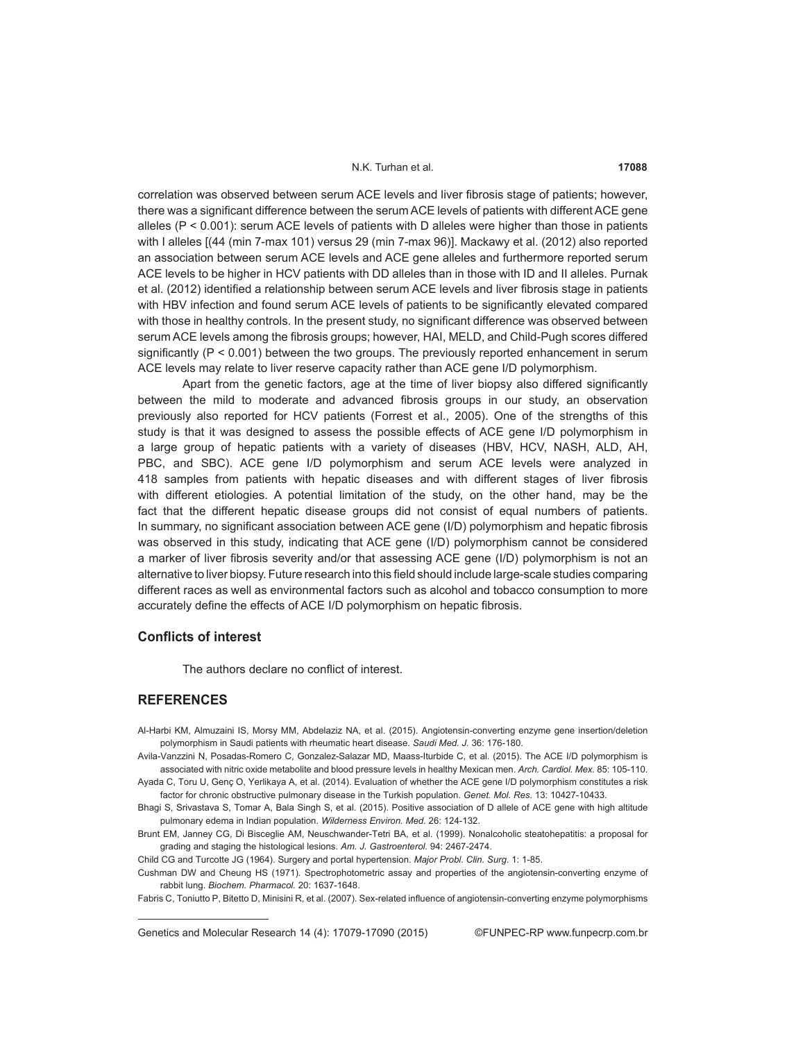correlation was observed between serum ACE levels and liver fibrosis stage of patients; however, there was a significant difference between the serum ACE levels of patients with different ACE gene alleles (P < 0.001): serum ACE levels of patients with D alleles were higher than those in patients with I alleles [(44 (min 7-max 101) versus 29 (min 7-max 96)]. Mackawy et al. (2012) also reported an association between serum ACE levels and ACE gene alleles and furthermore reported serum ACE levels to be higher in HCV patients with DD alleles than in those with ID and II alleles. Purnak et al. (2012) identified a relationship between serum ACE levels and liver fibrosis stage in patients with HBV infection and found serum ACE levels of patients to be significantly elevated compared with those in healthy controls. In the present study, no significant difference was observed between serum ACE levels among the fibrosis groups; however, HAI, MELD, and Child-Pugh scores differed significantly (P < 0.001) between the two groups. The previously reported enhancement in serum ACE levels may relate to liver reserve capacity rather than ACE gene I/D polymorphism.

Apart from the genetic factors, age at the time of liver biopsy also differed significantly between the mild to moderate and advanced fibrosis groups in our study, an observation previously also reported for HCV patients (Forrest et al., 2005). One of the strengths of this study is that it was designed to assess the possible effects of ACE gene I/D polymorphism in a large group of hepatic patients with a variety of diseases (HBV, HCV, NASH, ALD, AH, PBC, and SBC). ACE gene I/D polymorphism and serum ACE levels were analyzed in 418 samples from patients with hepatic diseases and with different stages of liver fibrosis with different etiologies. A potential limitation of the study, on the other hand, may be the fact that the different hepatic disease groups did not consist of equal numbers of patients. In summary, no significant association between ACE gene (I/D) polymorphism and hepatic fibrosis was observed in this study, indicating that ACE gene (I/D) polymorphism cannot be considered a marker of liver fibrosis severity and/or that assessing ACE gene (I/D) polymorphism is not an alternative to liver biopsy. Future research into this field should include large-scale studies comparing different races as well as environmental factors such as alcohol and tobacco consumption to more accurately define the effects of ACE I/D polymorphism on hepatic fibrosis.

#### **Conflicts of interest**

The authors declare no conflict of interest.

## **REFERENCES**

- Al-Harbi KM, Almuzaini IS, Morsy MM, Abdelaziz NA, et al. (2015). Angiotensin-converting enzyme gene insertion/deletion polymorphism in Saudi patients with rheumatic heart disease. *Saudi Med. J.* 36: 176-180.
- Avila-Vanzzini N, Posadas-Romero C, Gonzalez-Salazar MD, Maass-Iturbide C, et al. (2015). The ACE I/D polymorphism is associated with nitric oxide metabolite and blood pressure levels in healthy Mexican men. *Arch. Cardiol. Mex.* 85: 105-110.
- Ayada C, Toru U, Genç O, Yerlikaya A, et al. (2014). Evaluation of whether the ACE gene I/D polymorphism constitutes a risk factor for chronic obstructive pulmonary disease in the Turkish population. *Genet. Mol. Res.* 13: 10427-10433.
- Bhagi S, Srivastava S, Tomar A, Bala Singh S, et al. (2015). Positive association of D allele of ACE gene with high altitude pulmonary edema in Indian population. *Wilderness Environ. Med.* 26: 124-132.
- Brunt EM, Janney CG, Di Bisceglie AM, Neuschwander-Tetri BA, et al. (1999). Nonalcoholic steatohepatitis: a proposal for grading and staging the histological lesions. *Am. J. Gastroenterol.* 94: 2467-2474.
- Child CG and Turcotte JG (1964). Surgery and portal hypertension. *Major Probl. Clin. Surg*. 1: 1-85.
- Cushman DW and Cheung HS (1971). Spectrophotometric assay and properties of the angiotensin-converting enzyme of rabbit lung. *Biochem. Pharmacol.* 20: 1637-1648.

Fabris C, Toniutto P, Bitetto D, Minisini R, et al. (2007). Sex-related influence of angiotensin-converting enzyme polymorphisms

Genetics and Molecular Research 14 (4): 17079-17090 (2015) ©FUNPEC-RP www.funpecrp.com.br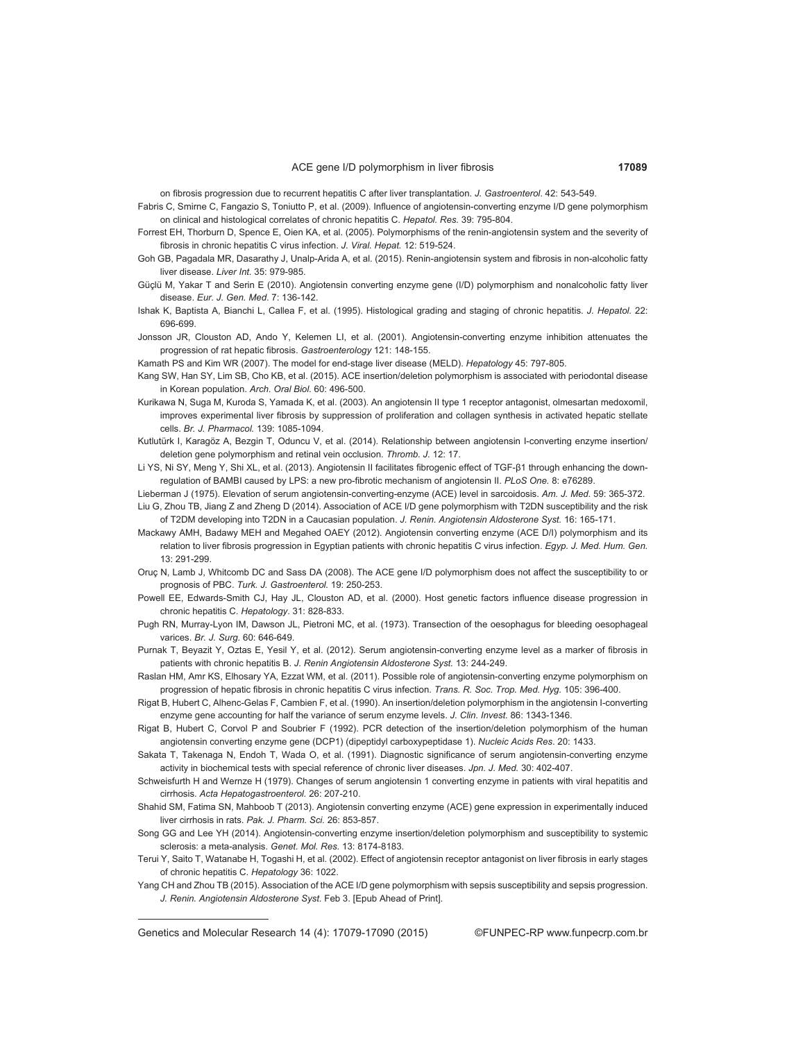on fibrosis progression due to recurrent hepatitis C after liver transplantation. *J. Gastroenterol*. 42: 543-549.

- Fabris C, Smirne C, Fangazio S, Toniutto P, et al. (2009). Influence of angiotensin-converting enzyme I/D gene polymorphism on clinical and histological correlates of chronic hepatitis C. *Hepatol. Res.* 39: 795-804.
- Forrest EH, Thorburn D, Spence E, Oien KA, et al. (2005). Polymorphisms of the renin-angiotensin system and the severity of fibrosis in chronic hepatitis C virus infection. *J. Viral. Hepat.* 12: 519-524.
- Goh GB, Pagadala MR, Dasarathy J, Unalp-Arida A, et al. (2015). Renin-angiotensin system and fibrosis in non-alcoholic fatty liver disease. *Liver Int.* 35: 979-985.
- Güçlü M, Yakar T and Serin E (2010). Angiotensin converting enzyme gene (I/D) polymorphism and nonalcoholic fatty liver disease. *Eur. J. Gen. Med*. 7: 136-142.
- Ishak K, Baptista A, Bianchi L, Callea F, et al. (1995). Histological grading and staging of chronic hepatitis. *J. Hepatol.* 22: 696-699.
- Jonsson JR, Clouston AD, Ando Y, Kelemen LI, et al. (2001). Angiotensin-converting enzyme inhibition attenuates the progression of rat hepatic fibrosis. *Gastroenterology* 121: 148-155.

Kamath PS and Kim WR (2007). The model for end-stage liver disease (MELD). *Hepatology* 45: 797-805.

- Kang SW, Han SY, Lim SB, Cho KB, et al. (2015). ACE insertion/deletion polymorphism is associated with periodontal disease in Korean population. *Arch. Oral Biol.* 60: 496-500.
- Kurikawa N, Suga M, Kuroda S, Yamada K, et al. (2003). An angiotensin II type 1 receptor antagonist, olmesartan medoxomil, improves experimental liver fibrosis by suppression of proliferation and collagen synthesis in activated hepatic stellate cells. *Br. J. Pharmacol.* 139: 1085-1094.
- Kutlutürk I, Karagöz A, Bezgin T, Oduncu V, et al. (2014). Relationship between angiotensin I-converting enzyme insertion/ deletion gene polymorphism and retinal vein occlusion. *Thromb. J.* 12: 17.
- Li YS, Ni SY, Meng Y, Shi XL, et al. (2013). Angiotensin II facilitates fibrogenic effect of TGF-β1 through enhancing the downregulation of BAMBI caused by LPS: a new pro-fibrotic mechanism of angiotensin II. *PLoS One.* 8: e76289.
- Lieberman J (1975). Elevation of serum angiotensin-converting-enzyme (ACE) level in sarcoidosis. *Am. J. Med.* 59: 365-372. Liu G, Zhou TB, Jiang Z and Zheng D (2014). Association of ACE I/D gene polymorphism with T2DN susceptibility and the risk of T2DM developing into T2DN in a Caucasian population. *J. Renin. Angiotensin Aldosterone Syst.* 16: 165-171.
- Mackawy AMH, Badawy MEH and Megahed OAEY (2012). Angiotensin converting enzyme (ACE D/I) polymorphism and its relation to liver fibrosis progression in Egyptian patients with chronic hepatitis C virus infection. *Egyp. J. Med. Hum. Gen.* 13: 291-299.
- Oruç N, Lamb J, Whitcomb DC and Sass DA (2008). The ACE gene I/D polymorphism does not affect the susceptibility to or prognosis of PBC. *Turk. J. Gastroenterol.* 19: 250-253.
- Powell EE, Edwards-Smith CJ, Hay JL, Clouston AD, et al. (2000). Host genetic factors influence disease progression in chronic hepatitis C. *Hepatology*. 31: 828-833.
- Pugh RN, Murray-Lyon IM, Dawson JL, Pietroni MC, et al. (1973). Transection of the oesophagus for bleeding oesophageal varices. *Br. J. Surg.* 60: 646-649.
- Purnak T, Beyazit Y, Oztas E, Yesil Y, et al. (2012). Serum angiotensin-converting enzyme level as a marker of fibrosis in patients with chronic hepatitis B. *J. Renin Angiotensin Aldosterone Syst.* 13: 244-249.
- Raslan HM, Amr KS, Elhosary YA, Ezzat WM, et al. (2011). Possible role of angiotensin-converting enzyme polymorphism on progression of hepatic fibrosis in chronic hepatitis C virus infection. *Trans. R. Soc. Trop. Med. Hyg.* 105: 396-400.
- Rigat B, Hubert C, Alhenc-Gelas F, Cambien F, et al. (1990). An insertion/deletion polymorphism in the angiotensin I-converting enzyme gene accounting for half the variance of serum enzyme levels. *J. Clin. Invest.* 86: 1343-1346.
- Rigat B, Hubert C, Corvol P and Soubrier F (1992). PCR detection of the insertion/deletion polymorphism of the human angiotensin converting enzyme gene (DCP1) (dipeptidyl carboxypeptidase 1). *Nucleic Acids Res*. 20: 1433.
- Sakata T, Takenaga N, Endoh T, Wada O, et al. (1991). Diagnostic significance of serum angiotensin-converting enzyme activity in biochemical tests with special reference of chronic liver diseases. *Jpn. J. Med.* 30: 402-407.
- Schweisfurth H and Wernze H (1979). Changes of serum angiotensin 1 converting enzyme in patients with viral hepatitis and cirrhosis. *Acta Hepatogastroenterol.* 26: 207-210.
- Shahid SM, Fatima SN, Mahboob T (2013). Angiotensin converting enzyme (ACE) gene expression in experimentally induced liver cirrhosis in rats. *Pak. J. Pharm. Sci.* 26: 853-857.
- Song GG and Lee YH (2014). Angiotensin-converting enzyme insertion/deletion polymorphism and susceptibility to systemic sclerosis: a meta-analysis. *Genet. Mol. Res.* 13: 8174-8183.
- Terui Y, Saito T, Watanabe H, Togashi H, et al. (2002). Effect of angiotensin receptor antagonist on liver fibrosis in early stages of chronic hepatitis C. *Hepatology* 36: 1022.

Yang CH and Zhou TB (2015). Association of the ACE I/D gene polymorphism with sepsis susceptibility and sepsis progression. *J. Renin. Angiotensin Aldosterone Syst.* Feb 3. [Epub Ahead of Print].

Genetics and Molecular Research 14 (4): 17079-17090 (2015) ©FUNPEC-RP www.funpecrp.com.br